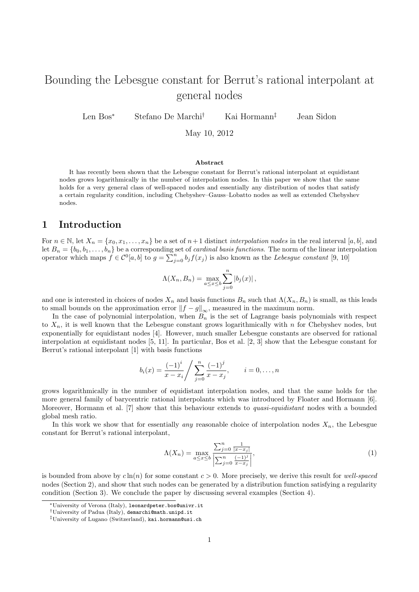# Bounding the Lebesgue constant for Berrut's rational interpolant at general nodes

Len Bos<sup>∗</sup> Stefano De Marchi† Kai Hormann‡ Jean Sidon

May 10, 2012

#### Abstract

It has recently been shown that the Lebesgue constant for Berrut's rational interpolant at equidistant nodes grows logarithmically in the number of interpolation nodes. In this paper we show that the same holds for a very general class of well-spaced nodes and essentially any distribution of nodes that satisfy a certain regularity condition, including Chebyshev–Gauss–Lobatto nodes as well as extended Chebyshev nodes.

### 1 Introduction

For  $n \in \mathbb{N}$ , let  $X_n = \{x_0, x_1, \ldots, x_n\}$  be a set of  $n+1$  distinct *interpolation nodes* in the real interval [a, b], and let  $B_n = \{b_0, b_1, \ldots, b_n\}$  be a corresponding set of *cardinal basis functions*. The norm of the linear interpolation operator which maps  $f \in C^0[a, b]$  to  $g = \sum_{j=0}^n b_j f(x_j)$  is also known as the Lebesgue constant [9, 10]

$$
\Lambda(X_n, B_n) = \max_{a \le x \le b} \sum_{j=0}^n |b_j(x)|,
$$

and one is interested in choices of nodes  $X_n$  and basis functions  $B_n$  such that  $\Lambda(X_n, B_n)$  is small, as this leads to small bounds on the approximation error  $||f - g||_{\infty}$ , measured in the maximum norm.

In the case of polynomial interpolation, when  $B_n$  is the set of Lagrange basis polynomials with respect to  $X_n$ , it is well known that the Lebesgue constant grows logarithmically with n for Chebyshev nodes, but exponentially for equidistant nodes [4]. However, much smaller Lebesgue constants are observed for rational interpolation at equidistant nodes [5, 11]. In particular, Bos et al. [2, 3] show that the Lebesgue constant for Berrut's rational interpolant [1] with basis functions

$$
b_i(x) = \frac{(-1)^i}{x - x_i} / \sum_{j=0}^n \frac{(-1)^j}{x - x_j}, \qquad i = 0, \dots, n
$$

grows logarithmically in the number of equidistant interpolation nodes, and that the same holds for the more general family of barycentric rational interpolants which was introduced by Floater and Hormann [6]. Moreover, Hormann et al. [7] show that this behaviour extends to quasi-equidistant nodes with a bounded global mesh ratio.

In this work we show that for essentially *any* reasonable choice of interpolation nodes  $X_n$ , the Lebesgue constant for Berrut's rational interpolant,

$$
\Lambda(X_n) = \max_{a \le x \le b} \frac{\sum_{j=0}^n \frac{1}{|x - x_j|}}{\left| \sum_{j=0}^n \frac{(-1)^j}{x - x_j} \right|},\tag{1}
$$

is bounded from above by  $c\ln(n)$  for some constant  $c > 0$ . More precisely, we derive this result for well-spaced nodes (Section 2), and show that such nodes can be generated by a distribution function satisfying a regularity condition (Section 3). We conclude the paper by discussing several examples (Section 4).

<sup>∗</sup>University of Verona (Italy), leonardpeter.bos@univr.it

<sup>†</sup>University of Padua (Italy), demarchi@math.unipd.it

<sup>‡</sup>University of Lugano (Switzerland), kai.hormann@usi.ch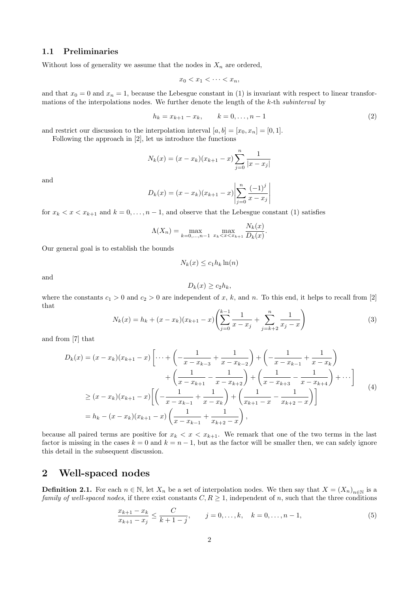#### 1.1 Preliminaries

Without loss of generality we assume that the nodes in  $X_n$  are ordered,

$$
x_0 < x_1 < \cdots < x_n
$$

and that  $x_0 = 0$  and  $x_n = 1$ , because the Lebesgue constant in (1) is invariant with respect to linear transformations of the interpolations nodes. We further denote the length of the k-th subinterval by

$$
h_k = x_{k+1} - x_k, \qquad k = 0, \dots, n-1
$$
\n(2)

and restrict our discussion to the interpolation interval  $[a, b] = [x_0, x_n] = [0, 1].$ 

Following the approach in [2], let us introduce the functions

$$
N_k(x) = (x - x_k)(x_{k+1} - x) \sum_{j=0}^{n} \frac{1}{|x - x_j|}
$$

and

$$
D_k(x) = (x - x_k)(x_{k+1} - x) \left| \sum_{j=0}^{n} \frac{(-1)^j}{x - x_j} \right|
$$

for  $x_k < x < x_{k+1}$  and  $k = 0, \ldots, n-1$ , and observe that the Lebesgue constant (1) satisfies

$$
\Lambda(X_n) = \max_{k=0,\dots,n-1} \max_{x_k < x < x_{k+1}} \frac{N_k(x)}{D_k(x)}.
$$

Our general goal is to establish the bounds

$$
N_k(x) \le c_1 h_k \ln(n)
$$

and

$$
D_k(x) \ge c_2 h_k,
$$

where the constants  $c_1 > 0$  and  $c_2 > 0$  are independent of x, k, and n. To this end, it helps to recall from [2] that

$$
N_k(x) = h_k + (x - x_k)(x_{k+1} - x) \left( \sum_{j=0}^{k-1} \frac{1}{x - x_j} + \sum_{j=k+2}^n \frac{1}{x_j - x} \right)
$$
(3)

and from [7] that

$$
D_k(x) = (x - x_k)(x_{k+1} - x) \left[ \dots + \left( -\frac{1}{x - x_{k-3}} + \frac{1}{x - x_{k-2}} \right) + \left( -\frac{1}{x - x_{k-1}} + \frac{1}{x - x_k} \right) + \left( \frac{1}{x - x_{k+1}} - \frac{1}{x - x_{k+2}} \right) + \left( \frac{1}{x - x_{k+3}} - \frac{1}{x - x_{k+4}} \right) + \dots \right]
$$
  
\n
$$
\ge (x - x_k)(x_{k+1} - x) \left[ \left( -\frac{1}{x - x_{k-1}} + \frac{1}{x - x_k} \right) + \left( \frac{1}{x_{k+1} - x} - \frac{1}{x_{k+2} - x} \right) \right]
$$
  
\n
$$
= h_k - (x - x_k)(x_{k+1} - x) \left( \frac{1}{x - x_{k-1}} + \frac{1}{x_{k+2} - x} \right),
$$
  
\n(4)

because all paired terms are positive for  $x_k < x < x_{k+1}$ . We remark that one of the two terms in the last factor is missing in the cases  $k = 0$  and  $k = n - 1$ , but as the factor will be smaller then, we can safely ignore this detail in the subsequent discussion.

### 2 Well-spaced nodes

**Definition 2.1.** For each  $n \in \mathbb{N}$ , let  $X_n$  be a set of interpolation nodes. We then say that  $X = (X_n)_{n \in \mathbb{N}}$  is a family of well-spaced nodes, if there exist constants  $C, R \geq 1$ , independent of n, such that the three conditions

$$
\frac{x_{k+1} - x_k}{x_{k+1} - x_j} \le \frac{C}{k+1-j}, \qquad j = 0, \dots, k, \quad k = 0, \dots, n-1,
$$
\n(5)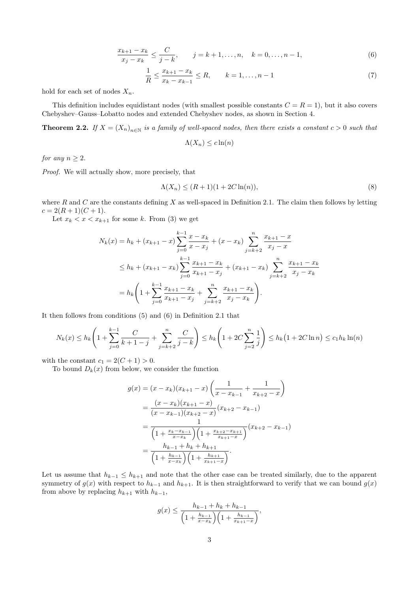$$
\frac{x_{k+1} - x_k}{x_j - x_k} \le \frac{C}{j - k}, \qquad j = k + 1, \dots, n, \quad k = 0, \dots, n - 1,\tag{6}
$$

$$
\frac{1}{R} \le \frac{x_{k+1} - x_k}{x_k - x_{k-1}} \le R, \qquad k = 1, \dots, n-1
$$
\n(7)

hold for each set of nodes  $X_n$ .

This definition includes equidistant nodes (with smallest possible constants  $C = R = 1$ ), but it also covers Chebyshev–Gauss–Lobatto nodes and extended Chebyshev nodes, as shown in Section 4.

**Theorem 2.2.** If  $X = (X_n)_{n \in \mathbb{N}}$  is a family of well-spaced nodes, then there exists a constant  $c > 0$  such that

$$
\Lambda(X_n) \leq c \ln(n)
$$

for any  $n \geq 2$ .

Proof. We will actually show, more precisely, that

$$
\Lambda(X_n) \le (R+1)(1+2C\ln(n)),\tag{8}
$$

where  $R$  and  $C$  are the constants defining  $X$  as well-spaced in Definition 2.1. The claim then follows by letting  $c = 2(R + 1)(C + 1).$ 

Let  $x_k < x < x_{k+1}$  for some k. From (3) we get

$$
N_k(x) = h_k + (x_{k+1} - x) \sum_{j=0}^{k-1} \frac{x - x_k}{x - x_j} + (x - x_k) \sum_{j=k+2}^n \frac{x_{k+1} - x_j}{x_j - x}
$$
  
\n
$$
\leq h_k + (x_{k+1} - x_k) \sum_{j=0}^{k-1} \frac{x_{k+1} - x_k}{x_{k+1} - x_j} + (x_{k+1} - x_k) \sum_{j=k+2}^n \frac{x_{k+1} - x_k}{x_j - x_k}
$$
  
\n
$$
= h_k \left( 1 + \sum_{j=0}^{k-1} \frac{x_{k+1} - x_k}{x_{k+1} - x_j} + \sum_{j=k+2}^n \frac{x_{k+1} - x_k}{x_j - x_k} \right).
$$

It then follows from conditions (5) and (6) in Definition 2.1 that

$$
N_k(x) \le h_k\left(1 + \sum_{j=0}^{k-1} \frac{C}{k+1-j} + \sum_{j=k+2}^n \frac{C}{j-k}\right) \le h_k\left(1 + 2C\sum_{j=2}^n \frac{1}{j}\right) \le h_k\left(1 + 2C\ln n\right) \le c_1 h_k \ln(n)
$$

with the constant  $c_1 = 2(C + 1) > 0$ .

To bound  $D_k(x)$  from below, we consider the function

$$
g(x) = (x - x_k)(x_{k+1} - x) \left( \frac{1}{x - x_{k-1}} + \frac{1}{x_{k+2} - x} \right)
$$
  
= 
$$
\frac{(x - x_k)(x_{k+1} - x)}{(x - x_{k-1})(x_{k+2} - x)} (x_{k+2} - x_{k-1})
$$
  
= 
$$
\frac{1}{\left(1 + \frac{x_k - x_{k-1}}{x - x_k}\right) \left(1 + \frac{x_{k+2} - x_{k+1}}{x_{k+1} - x}\right)} (x_{k+2} - x_{k-1})
$$
  
= 
$$
\frac{h_{k-1} + h_k + h_{k+1}}{\left(1 + \frac{h_{k-1}}{x - x_k}\right) \left(1 + \frac{h_{k+1}}{x_{k+1} - x}\right)}.
$$

Let us assume that  $h_{k-1} \leq h_{k+1}$  and note that the other case can be treated similarly, due to the apparent symmetry of  $g(x)$  with respect to  $h_{k-1}$  and  $h_{k+1}$ . It is then straightforward to verify that we can bound  $g(x)$ from above by replacing  $h_{k+1}$  with  $h_{k-1}$ ,

$$
g(x) \le \frac{h_{k-1} + h_k + h_{k-1}}{\left(1 + \frac{h_{k-1}}{x - x_k}\right)\left(1 + \frac{h_{k-1}}{x_{k+1} - x}\right)},
$$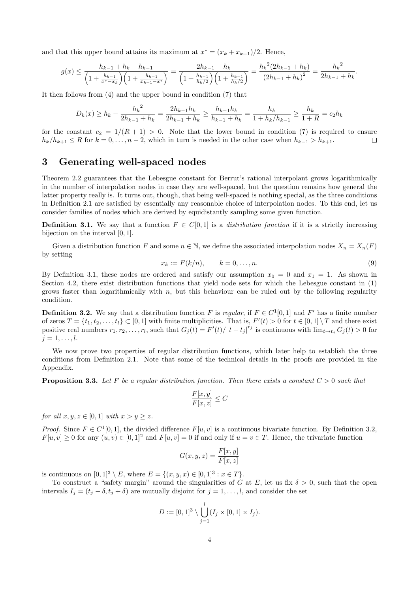and that this upper bound attains its maximum at  $x^* = (x_k + x_{k+1})/2$ . Hence,

$$
g(x) \le \frac{h_{k-1} + h_k + h_{k-1}}{\left(1 + \frac{h_{k-1}}{x^* - x_k}\right)\left(1 + \frac{h_{k-1}}{x_{k+1} - x^*}\right)} = \frac{2h_{k-1} + h_k}{\left(1 + \frac{h_{k-1}}{h_k/2}\right)\left(1 + \frac{h_{k-1}}{h_k/2}\right)} = \frac{h_k^2(2h_{k-1} + h_k)}{\left(2h_{k-1} + h_k\right)^2} = \frac{h_k^2}{2h_{k-1} + h_k}
$$

It then follows from (4) and the upper bound in condition (7) that

$$
D_k(x) \ge h_k - \frac{h_k^2}{2h_{k-1} + h_k} = \frac{2h_{k-1}h_k}{2h_{k-1} + h_k} \ge \frac{h_{k-1}h_k}{h_{k-1} + h_k} = \frac{h_k}{1 + h_k/h_{k-1}} \ge \frac{h_k}{1 + R} = c_2h_k
$$

for the constant  $c_2 = 1/(R+1) > 0$ . Note that the lower bound in condition (7) is required to ensure  $h_k/h_{k+1} \leq R$  for  $k = 0, \ldots, n-2$ , which in turn is needed in the other case when  $h_{k-1} > h_{k+1}$ .  $\Box$ 

### 3 Generating well-spaced nodes

Theorem 2.2 guarantees that the Lebesgue constant for Berrut's rational interpolant grows logarithmically in the number of interpolation nodes in case they are well-spaced, but the question remains how general the latter property really is. It turns out, though, that being well-spaced is nothing special, as the three conditions in Definition 2.1 are satisfied by essentially any reasonable choice of interpolation nodes. To this end, let us consider families of nodes which are derived by equidistantly sampling some given function.

**Definition 3.1.** We say that a function  $F \in C[0,1]$  is a distribution function if it is a strictly increasing bijection on the interval [0, 1].

Given a distribution function F and some  $n \in \mathbb{N}$ , we define the associated interpolation nodes  $X_n = X_n(F)$ by setting

$$
x_k := F(k/n), \qquad k = 0, \dots, n. \tag{9}
$$

.

By Definition 3.1, these nodes are ordered and satisfy our assumption  $x_0 = 0$  and  $x_1 = 1$ . As shown in Section 4.2, there exist distribution functions that yield node sets for which the Lebesgue constant in (1) grows faster than logarithmically with  $n$ , but this behaviour can be ruled out by the following regularity condition.

**Definition 3.2.** We say that a distribution function F is regular, if  $F \in C^1[0,1]$  and F' has a finite number of zeros  $T = \{t_1, t_2, \ldots, t_l\} \subset [0, 1]$  with finite multiplicities. That is,  $F'(t) > 0$  for  $t \in [0, 1] \setminus T$  and there exist positive real numbers  $r_1, r_2, \ldots, r_l$ , such that  $G_j(t) = F'(t)/|t-t_j|^{r_j}$  is continuous with  $\lim_{t \to t_j} G_j(t) > 0$  for  $j = 1, \ldots, l$ .

We now prove two properties of regular distribution functions, which later help to establish the three conditions from Definition 2.1. Note that some of the technical details in the proofs are provided in the Appendix.

**Proposition 3.3.** Let F be a regular distribution function. Then there exists a constant  $C > 0$  such that

$$
\frac{F[x,y]}{F[x,z]}\leq C
$$

for all  $x, y, z \in [0, 1]$  with  $x > y \geq z$ .

*Proof.* Since  $F \in C^1[0,1]$ , the divided difference  $F[u, v]$  is a continuous bivariate function. By Definition 3.2,  $F[u, v] \geq 0$  for any  $(u, v) \in [0, 1]^2$  and  $F[u, v] = 0$  if and only if  $u = v \in T$ . Hence, the trivariate function

$$
G(x, y, z) = \frac{F[x, y]}{F[x, z]}
$$

is continuous on  $[0,1]^3 \setminus E$ , where  $E = \{(x,y,x) \in [0,1]^3 : x \in T\}$ .

To construct a "safety margin" around the singularities of G at E, let us fix  $\delta > 0$ , such that the open intervals  $I_j = (t_j - \delta, t_j + \delta)$  are mutually disjoint for  $j = 1, \ldots, l$ , and consider the set

$$
D := [0,1]^3 \setminus \bigcup_{j=1}^l (I_j \times [0,1] \times I_j).
$$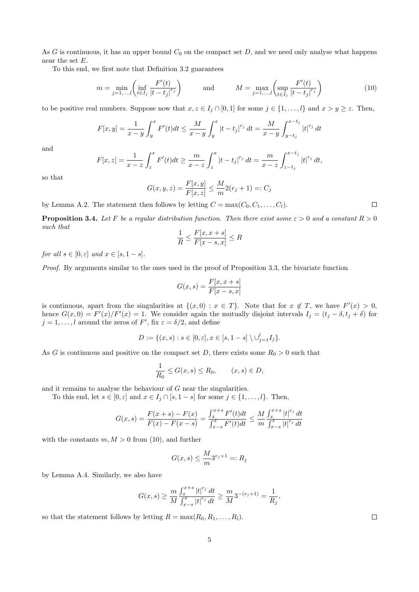As  $G$  is continuous, it has an upper bound  $C_0$  on the compact set  $D$ , and we need only analyse what happens near the set  $E$ .

To this end, we first note that Definition 3.2 guarantees

$$
m = \min_{j=1,\dots,l} \left( \inf_{t \in I_j} \frac{F'(t)}{|t - t_j|^{r_j}} \right) \quad \text{and} \quad M = \max_{j=1,\dots,l} \left( \sup_{t \in I_j} \frac{F'(t)}{|t - t_j|^{r_j}} \right) \tag{10}
$$

to be positive real numbers. Suppose now that  $x, z \in I_j \cap [0, 1]$  for some  $j \in \{1, ..., l\}$  and  $x > y \geq z$ . Then,

$$
F[x,y] = \frac{1}{x-y} \int_{y}^{x} F'(t)dt \le \frac{M}{x-y} \int_{y}^{x} |t-t_j|^{r_j} dt = \frac{M}{x-y} \int_{y-t_j}^{x-t_j} |t|^{r_j} dt
$$

and

$$
F[x,z] = \frac{1}{x-z} \int_z^x F'(t) dt \ge \frac{m}{x-z} \int_z^x |t-t_j|^{r_j} dt = \frac{m}{x-z} \int_{z-t_j}^{x-t_j} |t|^{r_j} dt,
$$

so that

$$
G(x, y, z) = \frac{F[x, y]}{F[x, z]} \le \frac{M}{m} 2(r_j + 1) =: C_j
$$

by Lemma A.2. The statement then follows by letting  $C = \max(C_0, C_1, \ldots, C_l)$ .

**Proposition 3.4.** Let F be a regular distribution function. Then there exist some  $\varepsilon > 0$  and a constant  $R > 0$ such that

$$
\frac{1}{R} \le \frac{F[x, x+s]}{F[x-s, x]} \le R
$$

for all  $s \in [0, \varepsilon]$  and  $x \in [s, 1-s]$ .

Proof. By arguments similar to the ones used in the proof of Proposition 3.3, the bivariate function

$$
G(x,s) = \frac{F[x,x+s]}{F[x-s,x]}
$$

is continuous, apart from the singularities at  $\{(x,0): x \in T\}$ . Note that for  $x \notin T$ , we have  $F'(x) > 0$ , hence  $G(x, 0) = F'(x)/F'(x) = 1$ . We consider again the mutually disjoint intervals  $I_j = (t_j - \delta, t_j + \delta)$  for  $j = 1, \ldots, l$  around the zeros of  $F'$ , fix  $\varepsilon = \delta/2$ , and define

$$
D := \{ (x, s) : s \in [0, \varepsilon], x \in [s, 1 - s] \setminus \cup_{j=1}^{l} I_j \}.
$$

As G is continuous and positive on the compact set D, there exists some  $R_0 > 0$  such that

$$
\frac{1}{R_0} \le G(x, s) \le R_0, \qquad (x, s) \in D,
$$

and it remains to analyse the behaviour of  $G$  near the singularities.

To this end, let  $s \in [0, \varepsilon]$  and  $x \in I_j \cap [s, 1-s]$  for some  $j \in \{1, \ldots, l\}$ . Then,

$$
G(x,s) = \frac{F(x+s) - F(x)}{F(x) - F(x-s)} = \frac{\int_x^{x+s} F'(t)dt}{\int_{x-s}^x F'(t)dt} \le \frac{M}{m} \frac{\int_x^{x+s} |t|^{r_j} dt}{\int_{x-s}^x |t|^{r_j} dt}
$$

with the constants  $m, M > 0$  from (10), and further

$$
G(x,s) \le \frac{M}{m} 3^{r_j+1} =: R_j
$$

by Lemma A.4. Similarly, we also have

$$
G(x,s) \ge \frac{m}{M} \frac{\int_x^{x+s} |t|^{r_j} dt}{\int_{x-s}^{x} |t|^{r_j} dt} \ge \frac{m}{M} 3^{-(r_j+1)} = \frac{1}{R_j},
$$

5

so that the statement follows by letting  $R = \max(R_0, R_1, \ldots, R_l)$ .

 $\Box$ 

 $\Box$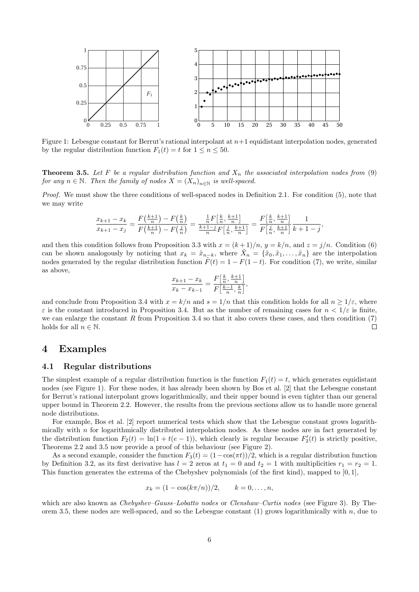

Figure 1: Lebesgue constant for Berrut's rational interpolant at  $n+1$  equidistant interpolation nodes, generated by the regular distribution function  $F_1(t) = t$  for  $1 \le n \le 50$ .

**Theorem 3.5.** Let F be a regular distribution function and  $X_n$  the associated interpolation nodes from (9) for any  $n \in \mathbb{N}$ . Then the family of nodes  $X = (X_n)_{n \in \mathbb{N}}$  is well-spaced.

Proof. We must show the three conditions of well-spaced nodes in Definition 2.1. For condition (5), note that we may write

$$
\frac{x_{k+1} - x_k}{x_{k+1} - x_j} = \frac{F(\frac{k+1}{n}) - F(\frac{k}{n})}{F(\frac{k+1}{n}) - F(\frac{j}{n})} = \frac{\frac{1}{n}F(\frac{k}{n}, \frac{k+1}{n})}{\frac{k+1-j}{n}F(\frac{j}{n}, \frac{k+1}{n})} = \frac{F(\frac{k}{n}, \frac{k+1}{n})}{F(\frac{j}{n}, \frac{k+1}{n})} \frac{1}{k+1-j},
$$

and then this condition follows from Proposition 3.3 with  $x = (k+1)/n$ ,  $y = k/n$ , and  $z = j/n$ . Condition (6) can be shown analogously by noticing that  $x_k = \tilde{x}_{n-k}$ , where  $\tilde{X}_n = {\tilde{x}_0, \tilde{x}_1, \ldots, \tilde{x}_n}$  are the interpolation nodes generated by the regular distribution function  $\tilde{F}(t) = 1 - F(1 - t)$ . For condition (7), we write, similar as above,

$$
\frac{x_{k+1} - x_k}{x_k - x_{k-1}} = \frac{F\left[\frac{k}{n}, \frac{k+1}{n}\right]}{F\left[\frac{k-1}{n}, \frac{k}{n}\right]},
$$

and conclude from Proposition 3.4 with  $x = k/n$  and  $s = 1/n$  that this condition holds for all  $n \ge 1/\varepsilon$ , where  $\varepsilon$  is the constant introduced in Proposition 3.4. But as the number of remaining cases for  $n < 1/\varepsilon$  is finite, we can enlarge the constant  $R$  from Proposition 3.4 so that it also covers these cases, and then condition  $(7)$ holds for all  $n \in \mathbb{N}$ .  $\Box$ 

### 4 Examples

#### 4.1 Regular distributions

The simplest example of a regular distribution function is the function  $F_1(t) = t$ , which generates equidistant nodes (see Figure 1). For these nodes, it has already been shown by Bos et al. [2] that the Lebesgue constant for Berrut's rational interpolant grows logarithmically, and their upper bound is even tighter than our general upper bound in Theorem 2.2. However, the results from the previous sections allow us to handle more general node distributions.

For example, Bos et al. [2] report numerical tests which show that the Lebesgue constant grows logarithmically with  $n$  for logarithmically distributed interpolation nodes. As these nodes are in fact generated by the distribution function  $F_2(t) = \ln(1 + t(e - 1))$ , which clearly is regular because  $F'_2(t)$  is strictly positive, Theorems 2.2 and 3.5 now provide a proof of this behaviour (see Figure 2).

As a second example, consider the function  $F_3(t) = (1-\cos(\pi t))/2$ , which is a regular distribution function by Definition 3.2, as its first derivative has  $l = 2$  zeros at  $t_1 = 0$  and  $t_2 = 1$  with multiplicities  $r_1 = r_2 = 1$ . This function generates the extrema of the Chebyshev polynomials (of the first kind), mapped to [0, 1],

$$
x_k = (1 - \cos(k\pi/n))/2, \qquad k = 0, \ldots, n,
$$

which are also known as *Chebyshev–Gauss–Lobatto nodes* or *Clenshaw–Curtis nodes* (see Figure 3). By Theorem 3.5, these nodes are well-spaced, and so the Lebesgue constant  $(1)$  grows logarithmically with  $n$ , due to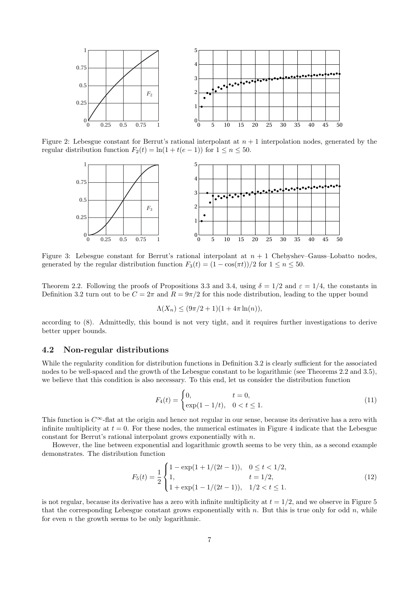

Figure 2: Lebesgue constant for Berrut's rational interpolant at  $n + 1$  interpolation nodes, generated by the regular distribution function  $F_2(t) = \ln(1 + t(e - 1))$  for  $1 \le n \le 50$ .



Figure 3: Lebesgue constant for Berrut's rational interpolant at  $n + 1$  Chebyshev–Gauss–Lobatto nodes, generated by the regular distribution function  $F_3(t) = (1 - \cos(\pi t))/2$  for  $1 \le n \le 50$ .

Theorem 2.2. Following the proofs of Propositions 3.3 and 3.4, using  $\delta = 1/2$  and  $\varepsilon = 1/4$ , the constants in Definition 3.2 turn out to be  $C = 2\pi$  and  $R = 9\pi/2$  for this node distribution, leading to the upper bound

$$
\Lambda(X_n) \le (9\pi/2 + 1)(1 + 4\pi \ln(n)),
$$

according to (8). Admittedly, this bound is not very tight, and it requires further investigations to derive better upper bounds.

#### 4.2 Non-regular distributions

While the regularity condition for distribution functions in Definition 3.2 is clearly sufficient for the associated nodes to be well-spaced and the growth of the Lebesgue constant to be logarithmic (see Theorems 2.2 and 3.5), we believe that this condition is also necessary. To this end, let us consider the distribution function

$$
F_4(t) = \begin{cases} 0, & t = 0, \\ \exp(1 - 1/t), & 0 < t \le 1. \end{cases}
$$
 (11)

This function is  $C^{\infty}$ -flat at the origin and hence not regular in our sense, because its derivative has a zero with infinite multiplicity at  $t = 0$ . For these nodes, the numerical estimates in Figure 4 indicate that the Lebesgue constant for Berrut's rational interpolant grows exponentially with  $n$ .

However, the line between exponential and logarithmic growth seems to be very thin, as a second example demonstrates. The distribution function

$$
F_5(t) = \frac{1}{2} \begin{cases} 1 - \exp(1 + 1/(2t - 1)), & 0 \le t < 1/2, \\ 1, & t = 1/2, \\ 1 + \exp(1 - 1/(2t - 1)), & 1/2 < t \le 1. \end{cases}
$$
(12)

is not regular, because its derivative has a zero with infinite multiplicity at  $t = 1/2$ , and we observe in Figure 5 that the corresponding Lebesgue constant grows exponentially with  $n$ . But this is true only for odd  $n$ , while for even  $n$  the growth seems to be only logarithmic.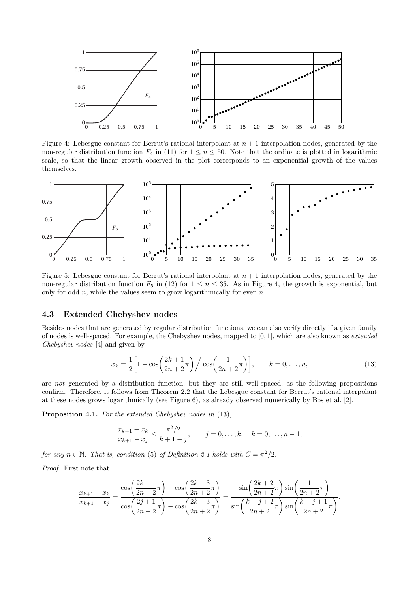

Figure 4: Lebesgue constant for Berrut's rational interpolant at  $n + 1$  interpolation nodes, generated by the non-regular distribution function  $F_4$  in (11) for  $1 \le n \le 50$ . Note that the ordinate is plotted in logarithmic scale, so that the linear growth observed in the plot corresponds to an exponential growth of the values themselves.



Figure 5: Lebesgue constant for Berrut's rational interpolant at  $n + 1$  interpolation nodes, generated by the non-regular distribution function  $F_5$  in (12) for  $1 \le n \le 35$ . As in Figure 4, the growth is exponential, but only for odd  $n$ , while the values seem to grow logarithmically for even  $n$ .

#### 4.3 Extended Chebyshev nodes

Besides nodes that are generated by regular distribution functions, we can also verify directly if a given family of nodes is well-spaced. For example, the Chebyshev nodes, mapped to  $[0, 1]$ , which are also known as *extended* Chebyshev nodes [4] and given by

$$
x_k = \frac{1}{2} \left[ 1 - \cos \left( \frac{2k+1}{2n+2} \pi \right) \right/ \cos \left( \frac{1}{2n+2} \pi \right) \right], \qquad k = 0, \dots, n,
$$
 (13)

are not generated by a distribution function, but they are still well-spaced, as the following propositions confirm. Therefore, it follows from Theorem 2.2 that the Lebesgue constant for Berrut's rational interpolant at these nodes grows logarithmically (see Figure 6), as already observed numerically by Bos et al. [2].

Proposition 4.1. For the extended Chebyshev nodes in (13),

$$
\frac{x_{k+1} - x_k}{x_{k+1} - x_j} \le \frac{\pi^2/2}{k+1-j}, \qquad j = 0, \dots, k, \quad k = 0, \dots, n-1,
$$

for any  $n \in \mathbb{N}$ . That is, condition (5) of Definition 2.1 holds with  $C = \pi^2/2$ .

Proof. First note that

$$
\frac{x_{k+1} - x_k}{x_{k+1} - x_j} = \frac{\cos\left(\frac{2k+1}{2n+2}\pi\right) - \cos\left(\frac{2k+3}{2n+2}\pi\right)}{\cos\left(\frac{2j+1}{2n+2}\pi\right) - \cos\left(\frac{2k+3}{2n+2}\pi\right)} = \frac{\sin\left(\frac{2k+2}{2n+2}\pi\right)\sin\left(\frac{1}{2n+2}\pi\right)}{\sin\left(\frac{k+j+2}{2n+2}\pi\right)\sin\left(\frac{k-j+1}{2n+2}\pi\right)}.
$$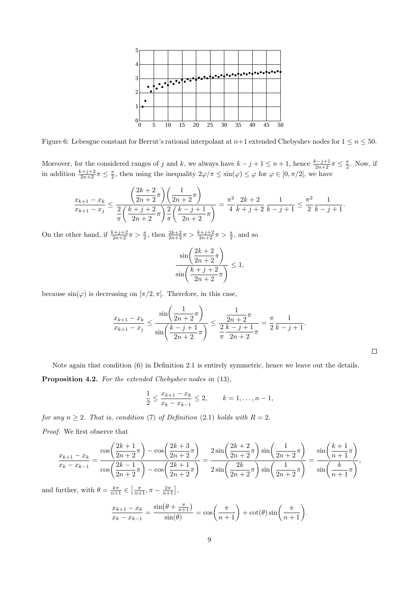

Figure 6: Lebesgue constant for Berrut's rational interpolant at  $n+1$  extended Chebyshev nodes for  $1 \le n \le 50$ .

Moreover, for the considered ranges of j and k, we always have  $k-j+1 \leq n+1$ , hence  $\frac{k-j+1}{2n+2}\pi \leq \frac{\pi}{2}$ . Now, if in addition  $\frac{k+j+2}{2n+2}\pi \leq \frac{\pi}{2}$ , then using the inequality  $2\varphi/\pi \leq \sin(\varphi) \leq \varphi$  for  $\varphi \in [0, \pi/2]$ , we have

$$
\frac{x_{k+1} - x_k}{x_{k+1} - x_j} \le \frac{\left(\frac{2k+2}{2n+2}\pi\right)\left(\frac{1}{2n+2}\pi\right)}{\frac{2}{\pi}\left(\frac{k+j+2}{2n+2}\pi\right)\frac{2}{\pi}\left(\frac{k-j+1}{2n+2}\pi\right)} = \frac{\pi^2}{4}\frac{2k+2}{k+j+2}\frac{1}{k-j+1} \le \frac{\pi^2}{2}\frac{1}{k-j+1}.
$$

On the other hand, if  $\frac{k+j+2}{2n+2}\pi > \frac{\pi}{2}$ , then  $\frac{2k+2}{2n+2}\pi > \frac{k+j+2}{2n+2}\pi > \frac{\pi}{2}$ , and so

$$
\frac{\sin\left(\frac{2k+2}{2n+2}\pi\right)}{\sin\left(\frac{k+j+2}{2n+2}\pi\right)} \le 1,
$$

because  $\sin(\varphi)$  is decreasing on  $[\pi/2, \pi]$ . Therefore, in this case,

$$
\frac{x_{k+1} - x_k}{x_{k+1} - x_j} \le \frac{\sin\left(\frac{1}{2n+2}\pi\right)}{\sin\left(\frac{k-j+1}{2n+2}\pi\right)} \le \frac{\frac{1}{2n+2}\pi}{\frac{2}{\pi}\frac{k-j+1}{2n+2}\pi} = \frac{\pi}{2}\frac{1}{k-j+1}.
$$

 $\Box$ 

Note again that condition (6) in Definition 2.1 is entirely symmetric, hence we leave out the details.

Proposition 4.2. For the extended Chebyshev nodes in  $(13)$ ,

$$
\frac{1}{2} \le \frac{x_{k+1} - x_k}{x_k - x_{k-1}} \le 2, \qquad k = 1, \dots, n-1,
$$

for any  $n \geq 2$ . That is, condition (7) of Definition (2.1) holds with  $R = 2$ .

Proof. We first observe that

$$
\frac{x_{k+1} - x_k}{x_k - x_{k-1}} = \frac{\cos\left(\frac{2k+1}{2n+2}\pi\right) - \cos\left(\frac{2k+3}{2n+2}\pi\right)}{\cos\left(\frac{2k-1}{2n+2}\pi\right) - \cos\left(\frac{2k+1}{2n+2}\pi\right)} = \frac{2\sin\left(\frac{2k+2}{2n+2}\pi\right)\sin\left(\frac{1}{2n+2}\pi\right)}{2\sin\left(\frac{2k}{2n+2}\pi\right)\sin\left(\frac{1}{2n+2}\pi\right)} = \frac{\sin\left(\frac{k+1}{n+1}\pi\right)}{\sin\left(\frac{k}{n+1}\pi\right)},
$$

and further, with  $\theta = \frac{k\pi}{n+1} \in \left[\frac{\pi}{n+1}, \pi - \frac{2\pi}{n+1}\right],$ 

$$
\frac{x_{k+1} - x_k}{x_k - x_{k-1}} = \frac{\sin(\theta + \frac{\pi}{n+1})}{\sin(\theta)} = \cos\left(\frac{\pi}{n+1}\right) + \cot(\theta)\sin\left(\frac{\pi}{n+1}\right).
$$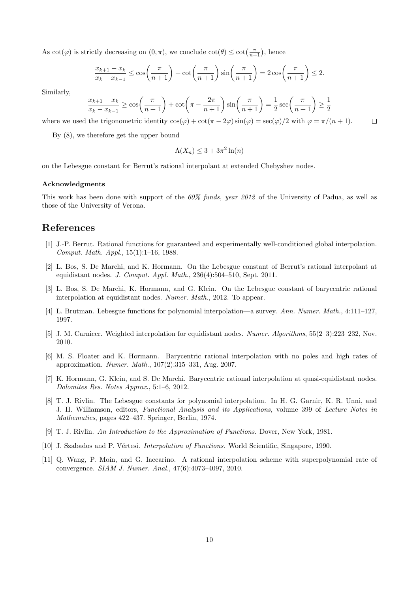As  $\cot(\varphi)$  is strictly decreasing on  $(0, \pi)$ , we conclude  $\cot(\theta) \leq \cot(\frac{\pi}{n+1})$ , hence

$$
\frac{x_{k+1} - x_k}{x_k - x_{k-1}} \le \cos\left(\frac{\pi}{n+1}\right) + \cot\left(\frac{\pi}{n+1}\right)\sin\left(\frac{\pi}{n+1}\right) = 2\cos\left(\frac{\pi}{n+1}\right) \le 2.
$$

Similarly,

$$
\frac{x_{k+1} - x_k}{x_k - x_{k-1}} \ge \cos\left(\frac{\pi}{n+1}\right) + \cot\left(\pi - \frac{2\pi}{n+1}\right)\sin\left(\frac{\pi}{n+1}\right) = \frac{1}{2}\sec\left(\frac{\pi}{n+1}\right) \ge \frac{1}{2}
$$

where we used the trigonometric identity  $\cos(\varphi) + \cot(\pi - 2\varphi)\sin(\varphi) = \sec(\varphi)/2$  with  $\varphi = \pi/(n+1)$ .  $\Box$ 

By (8), we therefore get the upper bound

$$
\Lambda(X_n) \le 3 + 3\pi^2 \ln(n)
$$

on the Lebesgue constant for Berrut's rational interpolant at extended Chebyshev nodes.

#### Acknowledgments

This work has been done with support of the 60% funds, year 2012 of the University of Padua, as well as those of the University of Verona.

### References

- [1] J.-P. Berrut. Rational functions for guaranteed and experimentally well-conditioned global interpolation. Comput. Math. Appl., 15(1):1–16, 1988.
- [2] L. Bos, S. De Marchi, and K. Hormann. On the Lebesgue constant of Berrut's rational interpolant at equidistant nodes. J. Comput. Appl. Math., 236(4):504–510, Sept. 2011.
- [3] L. Bos, S. De Marchi, K. Hormann, and G. Klein. On the Lebesgue constant of barycentric rational interpolation at equidistant nodes. Numer. Math., 2012. To appear.
- [4] L. Brutman. Lebesgue functions for polynomial interpolation—a survey. Ann. Numer. Math., 4:111–127, 1997.
- [5] J. M. Carnicer. Weighted interpolation for equidistant nodes. Numer. Algorithms, 55(2–3):223–232, Nov. 2010.
- [6] M. S. Floater and K. Hormann. Barycentric rational interpolation with no poles and high rates of approximation. Numer. Math., 107(2):315–331, Aug. 2007.
- [7] K. Hormann, G. Klein, and S. De Marchi. Barycentric rational interpolation at quasi-equidistant nodes. Dolomites Res. Notes Approx., 5:1–6, 2012.
- [8] T. J. Rivlin. The Lebesgue constants for polynomial interpolation. In H. G. Garnir, K. R. Unni, and J. H. Williamson, editors, Functional Analysis and its Applications, volume 399 of Lecture Notes in Mathematics, pages 422–437. Springer, Berlin, 1974.
- [9] T. J. Rivlin. An Introduction to the Approximation of Functions. Dover, New York, 1981.
- [10] J. Szabados and P. Vértesi. *Interpolation of Functions*. World Scientific, Singapore, 1990.
- [11] Q. Wang, P. Moin, and G. Iaccarino. A rational interpolation scheme with superpolynomial rate of convergence. SIAM J. Numer. Anal., 47(6):4073–4097, 2010.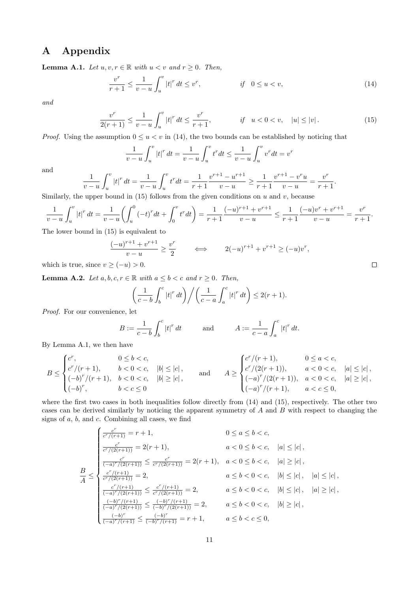## A Appendix

**Lemma A.1.** Let  $u, v, r \in \mathbb{R}$  with  $u < v$  and  $r \geq 0$ . Then,

$$
\frac{v^r}{r+1} \le \frac{1}{v-u} \int_u^v |t|^r \, dt \le v^r, \qquad \qquad \text{if} \quad 0 \le u < v, \tag{14}
$$

and

$$
\frac{v^r}{2(r+1)} \le \frac{1}{v-u} \int_u^v |t|^r \, dt \le \frac{v^r}{r+1}, \qquad \qquad \text{if} \quad u < 0 < v, \quad |u| \le |v| \,. \tag{15}
$$

*Proof.* Using the assumption  $0 \le u < v$  in (14), the two bounds can be established by noticing that

$$
\frac{1}{v-u} \int_u^v |t|^r \, dt = \frac{1}{v-u} \int_u^v t^r \, dt \le \frac{1}{v-u} \int_u^v v^r \, dt = v^r
$$

and

$$
\frac{1}{v-u}\int_u^v |t|^r dt = \frac{1}{v-u}\int_u^v t^r dt = \frac{1}{r+1}\frac{v^{r+1}-u^{r+1}}{v-u} \ge \frac{1}{r+1}\frac{v^{r+1}-v^r u}{v-u} = \frac{v^r}{r+1}.
$$

Similarly, the upper bound in (15) follows from the given conditions on  $u$  and  $v$ , because

$$
\frac{1}{v-u}\int_u^v|t|^r\,dt = \frac{1}{v-u}\bigg(\int_u^0(-t)^rdt+\int_0^vt^rdt\bigg)=\frac{1}{r+1}\frac{(-u)^{r+1}+v^{r+1}}{v-u}\leq \frac{1}{r+1}\frac{(-u)v^r+v^{r+1}}{v-u}=\frac{v^r}{r+1}.
$$

The lower bound in (15) is equivalent to

$$
\frac{(-u)^{r+1} + v^{r+1}}{v - u} \ge \frac{v^r}{2} \qquad \iff \qquad 2(-u)^{r+1} + v^{r+1} \ge (-u)v^r,
$$

which is true, since  $v \ge (-u) > 0$ .

**Lemma A.2.** Let  $a, b, c, r \in \mathbb{R}$  with  $a \leq b < c$  and  $r \geq 0$ . Then,

$$
\left(\frac{1}{c-b}\int_b^c \left|t\right|^r dt\right) \bigg/ \left(\frac{1}{c-a}\int_a^c \left|t\right|^r dt\right) \leq 2(r+1).
$$

Proof. For our convenience, let

$$
B := \frac{1}{c - b} \int_b^c |t|^r \, dt \qquad \text{and} \qquad A := \frac{1}{c - a} \int_a^c |t|^r \, dt.
$$

By Lemma A.1, we then have

$$
B \leq \begin{cases} c^r, & 0 \leq b < c, \\ c^r/(r+1), & b < 0 < c, \\ (-b)^r/(r+1), & b < 0 < c, \\ (-b)^r, & b < c \leq 0 \end{cases} \quad \text{and} \quad A \geq \begin{cases} c^r/(r+1), & 0 \leq a < c, \\ c^r/(2(r+1)), & a < 0 < c, \\ (-a)^r/(2(r+1)), & a < 0 < c, \\ (-a)^r/(r+1), & a < c \leq 0, \end{cases} \quad |a| \geq |c|,
$$

where the first two cases in both inequalities follow directly from  $(14)$  and  $(15)$ , respectively. The other two cases can be derived similarly by noticing the apparent symmetry of  $A$  and  $B$  with respect to changing the signs of  $a, b$ , and  $c$ . Combining all cases, we find

$$
\frac{e^r}{e^r/(r+1)} = r+1, \qquad 0 \le a \le b < c,
$$
\n
$$
\frac{e^r}{e^r/(2(r+1))} = 2(r+1), \qquad a < 0 \le b < c, \quad |a| \le |c|,
$$
\n
$$
\frac{B}{A} \le \begin{cases}\n\frac{e^r}{(-a)^r/(2(r+1))} \le \frac{e^r}{e^r/(2(r+1))} = 2(r+1), & a < 0 \le b < c, \quad |a| \ge |c|, \\
\frac{e^r}{e^r/(2(r+1))} = 2, & a \le b < 0 < c, \quad |b| \le |c|, \quad |a| \le |c|, \\
\frac{e^r}{(-a)^r/(2(r+1))} \le \frac{e^r/(r+1)}{e^r/(2(r+1))} = 2, & a \le b < 0 < c, \quad |b| \le |c|, \quad |a| \ge |c|, \\
\frac{(-b)^r/(r+1)}{(-a)^r/(2(r+1))} \le \frac{(-b)^r/(r+1)}{(-b)^r/(2(r+1))} = 2, & a \le b < 0 < c, \quad |b| \ge |c|, \\
\frac{(-b)^r}{(-a)^r/(r+1)} \le \frac{(-b)^r}{(-b)^r/(r+1)} = r+1, & a \le b < c \le 0,\n\end{cases}
$$

 $\Box$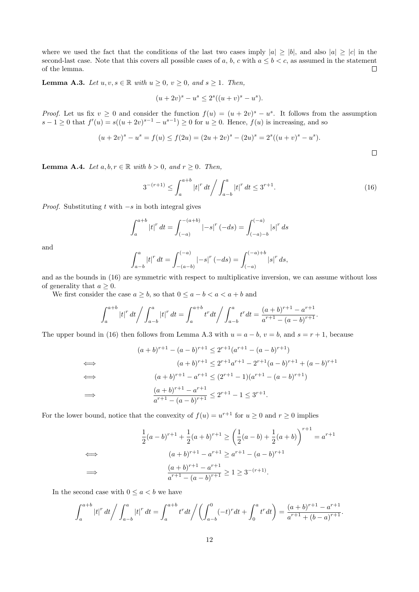where we used the fact that the conditions of the last two cases imply  $|a| \geq |b|$ , and also  $|a| \geq |c|$  in the second-last case. Note that this covers all possible cases of  $a, b, c$  with  $a \leq b < c$ , as assumed in the statement of the lemma.  $\Box$ 

**Lemma A.3.** Let  $u, v, s \in \mathbb{R}$  with  $u \geq 0$ ,  $v \geq 0$ , and  $s \geq 1$ . Then,

$$
(u+2v)^s - u^s \le 2^s ((u+v)^s - u^s).
$$

*Proof.* Let us fix  $v \geq 0$  and consider the function  $f(u) = (u + 2v)^s - u^s$ . It follows from the assumption  $s-1 \geq 0$  that  $f'(u) = s((u+2v)^{s-1} - u^{s-1}) \geq 0$  for  $u \geq 0$ . Hence,  $f(u)$  is increasing, and so

$$
(u+2v)^s - u^s = f(u) \le f(2u) = (2u+2v)^s - (2u)^s = 2^s((u+v)^s - u^s).
$$

**Lemma A.4.** Let  $a, b, r \in \mathbb{R}$  with  $b > 0$ , and  $r \geq 0$ . Then,

$$
3^{-(r+1)} \le \int_{a}^{a+b} |t|^r \, dt \bigg/ \int_{a-b}^{a} |t|^r \, dt \le 3^{r+1}.\tag{16}
$$

 $\Box$ 

*Proof.* Substituting  $t$  with  $-s$  in both integral gives

$$
\int_{a}^{a+b} |t|^r dt = \int_{(-a)}^{-(a+b)} |-s|^r (-ds) = \int_{(-a)-b}^{(-a)} |s|^r ds
$$

and

$$
\int_{a-b}^{a} |t|^r dt = \int_{-(a-b)}^{(-a)} |-s|^r (-ds) = \int_{(-a)}^{(-a)+b} |s|^r ds,
$$

and as the bounds in (16) are symmetric with respect to multiplicative inversion, we can assume without loss of generality that  $a \geq 0$ .

We first consider the case  $a \geq b$ , so that  $0 \leq a - b < a < a + b$  and

$$
\int_{a}^{a+b} |t|^r dt \bigg/ \int_{a-b}^{a} |t|^r dt = \int_{a}^{a+b} t^r dt \bigg/ \int_{a-b}^{a} t^r dt = \frac{(a+b)^{r+1} - a^{r+1}}{a^{r+1} - (a-b)^{r+1}}.
$$

The upper bound in (16) then follows from Lemma A.3 with  $u = a - b$ ,  $v = b$ , and  $s = r + 1$ , because

$$
(a+b)^{r+1} - (a-b)^{r+1} \le 2^{r+1}(a^{r+1} - (a-b)^{r+1})
$$
  
\n
$$
(a+b)^{r+1} \le 2^{r+1}a^{r+1} - 2^{r+1}(a-b)^{r+1} + (a-b)^{r+1}
$$
  
\n
$$
(a+b)^{r+1} - a^{r+1} \le (2^{r+1} - 1)(a^{r+1} - (a-b)^{r+1})
$$
  
\n
$$
\implies \frac{(a+b)^{r+1} - a^{r+1}}{a^{r+1} - (a-b)^{r+1}} \le 2^{r+1} - 1 \le 3^{r+1}.
$$

For the lower bound, notice that the convexity of  $f(u) = u^{r+1}$  for  $u \ge 0$  and  $r \ge 0$  implies

$$
\frac{1}{2}(a-b)^{r+1} + \frac{1}{2}(a+b)^{r+1} \ge \left(\frac{1}{2}(a-b) + \frac{1}{2}(a+b)\right)^{r+1} = a^{r+1}
$$
  
\n
$$
(a+b)^{r+1} - a^{r+1} \ge a^{r+1} - (a-b)^{r+1}
$$
  
\n
$$
\implies \frac{(a+b)^{r+1} - a^{r+1}}{a^{r+1} - (a-b)^{r+1}} \ge 1 \ge 3^{-(r+1)}.
$$

In the second case with  $0 \le a < b$  we have

$$
\int_{a}^{a+b} |t|^r dt \bigg/ \int_{a-b}^{a} |t|^r dt = \int_{a}^{a+b} t^r dt \bigg/ \bigg( \int_{a-b}^{0} (-t)^r dt + \int_{0}^{a} t^r dt \bigg) = \frac{(a+b)^{r+1} - a^{r+1}}{a^{r+1} + (b-a)^{r+1}}.
$$